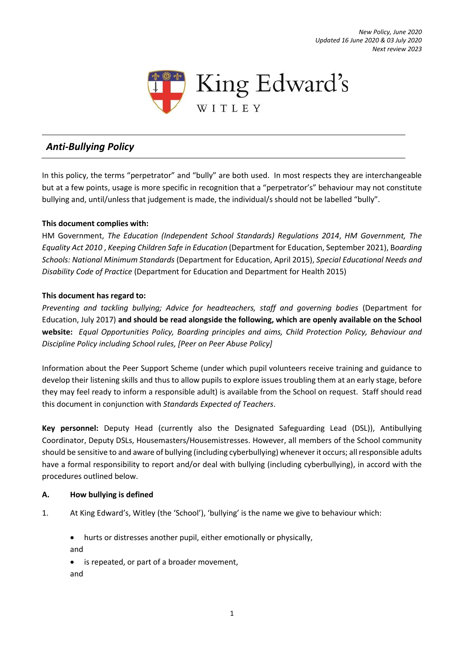*New Policy, June 2020 Updated 16 June 2020 & 03 July 2020 Next review 2023*



# *Anti-Bullying Policy*

In this policy, the terms "perpetrator" and "bully" are both used. In most respects they are interchangeable but at a few points, usage is more specific in recognition that a "perpetrator's" behaviour may not constitute bullying and, until/unless that judgement is made, the individual/s should not be labelled "bully".

#### **This document complies with:**

HM Government, *The Education (Independent School Standards) Regulations 2014*, *HM Government, The Equality Act 2010* , *Keeping Children Safe in Education* (Department for Education, September 2021), B*oarding Schools: National Minimum Standards* (Department for Education, April 2015), *Special Educational Needs and Disability Code of Practice* (Department for Education and Department for Health 2015)

#### **This document has regard to:**

*Preventing and tackling bullying; Advice for headteachers, staff and governing bodies* (Department for Education, July 2017) **and should be read alongside the following, which are openly available on the School website:** *Equal Opportunities Policy, Boarding principles and aims, Child Protection Policy, Behaviour and Discipline Policy including School rules, [Peer on Peer Abuse Policy]*

Information about the Peer Support Scheme (under which pupil volunteers receive training and guidance to develop their listening skills and thus to allow pupils to explore issues troubling them at an early stage, before they may feel ready to inform a responsible adult) is available from the School on request. Staff should read this document in conjunction with *Standards Expected of Teachers*.

**Key personnel:** Deputy Head (currently also the Designated Safeguarding Lead (DSL)), Antibullying Coordinator, Deputy DSLs, Housemasters/Housemistresses. However, all members of the School community should be sensitive to and aware of bullying (including cyberbullying) whenever it occurs; all responsible adults have a formal responsibility to report and/or deal with bullying (including cyberbullying), in accord with the procedures outlined below.

#### **A. How bullying is defined**

- 1. At King Edward's, Witley (the 'School'), 'bullying' is the name we give to behaviour which:
	- hurts or distresses another pupil, either emotionally or physically, and
	- is repeated, or part of a broader movement, and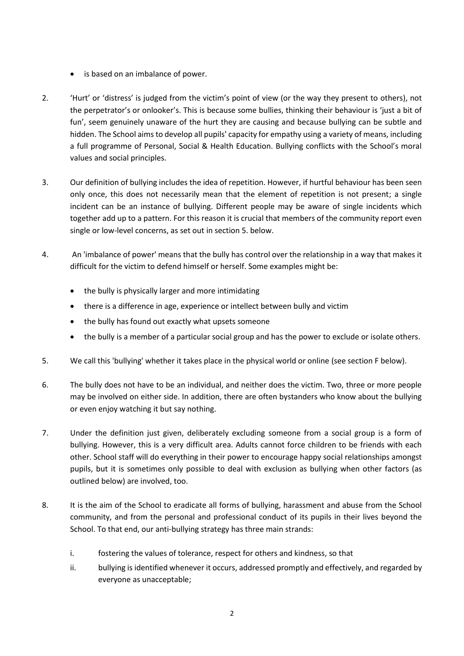- is based on an imbalance of power.
- 2. 'Hurt' or 'distress' is judged from the victim's point of view (or the way they present to others), not the perpetrator's or onlooker's. This is because some bullies, thinking their behaviour is 'just a bit of fun', seem genuinely unaware of the hurt they are causing and because bullying can be subtle and hidden. The School aims to develop all pupils' capacity for empathy using a variety of means, including a full programme of Personal, Social & Health Education. Bullying conflicts with the School's moral values and social principles.
- 3. Our definition of bullying includes the idea of repetition. However, if hurtful behaviour has been seen only once, this does not necessarily mean that the element of repetition is not present; a single incident can be an instance of bullying. Different people may be aware of single incidents which together add up to a pattern. For this reason it is crucial that members of the community report even single or low-level concerns, as set out in section 5. below.
- 4. An 'imbalance of power' means that the bully has control over the relationship in a way that makes it difficult for the victim to defend himself or herself. Some examples might be:
	- the bully is physically larger and more intimidating
	- there is a difference in age, experience or intellect between bully and victim
	- the bully has found out exactly what upsets someone
	- the bully is a member of a particular social group and has the power to exclude or isolate others.
- 5. We call this 'bullying' whether it takes place in the physical world or online (see section F below).
- 6. The bully does not have to be an individual, and neither does the victim. Two, three or more people may be involved on either side. In addition, there are often bystanders who know about the bullying or even enjoy watching it but say nothing.
- 7. Under the definition just given, deliberately excluding someone from a social group is a form of bullying. However, this is a very difficult area. Adults cannot force children to be friends with each other. School staff will do everything in their power to encourage happy social relationships amongst pupils, but it is sometimes only possible to deal with exclusion as bullying when other factors (as outlined below) are involved, too.
- 8. It is the aim of the School to eradicate all forms of bullying, harassment and abuse from the School community, and from the personal and professional conduct of its pupils in their lives beyond the School. To that end, our anti-bullying strategy has three main strands:
	- i. fostering the values of tolerance, respect for others and kindness, so that
	- ii. bullying is identified whenever it occurs, addressed promptly and effectively, and regarded by everyone as unacceptable;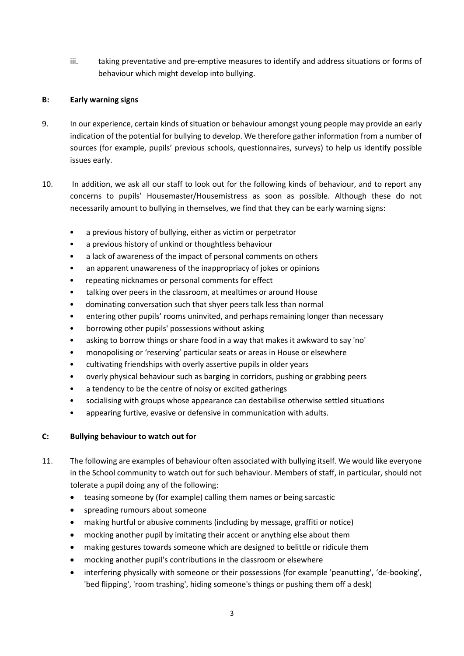iii. taking preventative and pre-emptive measures to identify and address situations or forms of behaviour which might develop into bullying.

## **B: Early warning signs**

- 9. In our experience, certain kinds of situation or behaviour amongst young people may provide an early indication of the potential for bullying to develop. We therefore gather information from a number of sources (for example, pupils' previous schools, questionnaires, surveys) to help us identify possible issues early.
- 10. In addition, we ask all our staff to look out for the following kinds of behaviour, and to report any concerns to pupils' Housemaster/Housemistress as soon as possible. Although these do not necessarily amount to bullying in themselves, we find that they can be early warning signs:
	- a previous history of bullying, either as victim or perpetrator
	- a previous history of unkind or thoughtless behaviour
	- a lack of awareness of the impact of personal comments on others
	- an apparent unawareness of the inappropriacy of jokes or opinions
	- repeating nicknames or personal comments for effect
	- talking over peers in the classroom, at mealtimes or around House
	- dominating conversation such that shyer peers talk less than normal
	- entering other pupils' rooms uninvited, and perhaps remaining longer than necessary
	- borrowing other pupils' possessions without asking
	- asking to borrow things or share food in a way that makes it awkward to say 'no'
	- monopolising or 'reserving' particular seats or areas in House or elsewhere
	- cultivating friendships with overly assertive pupils in older years
	- overly physical behaviour such as barging in corridors, pushing or grabbing peers
	- a tendency to be the centre of noisy or excited gatherings
	- socialising with groups whose appearance can destabilise otherwise settled situations
	- appearing furtive, evasive or defensive in communication with adults.

## **C: Bullying behaviour to watch out for**

- 11. The following are examples of behaviour often associated with bullying itself. We would like everyone in the School community to watch out for such behaviour. Members of staff, in particular, should not tolerate a pupil doing any of the following:
	- teasing someone by (for example) calling them names or being sarcastic
	- spreading rumours about someone
	- making hurtful or abusive comments (including by message, graffiti or notice)
	- mocking another pupil by imitating their accent or anything else about them
	- making gestures towards someone which are designed to belittle or ridicule them
	- mocking another pupil's contributions in the classroom or elsewhere
	- interfering physically with someone or their possessions (for example 'peanutting', 'de-booking', 'bed flipping', 'room trashing', hiding someone's things or pushing them off a desk)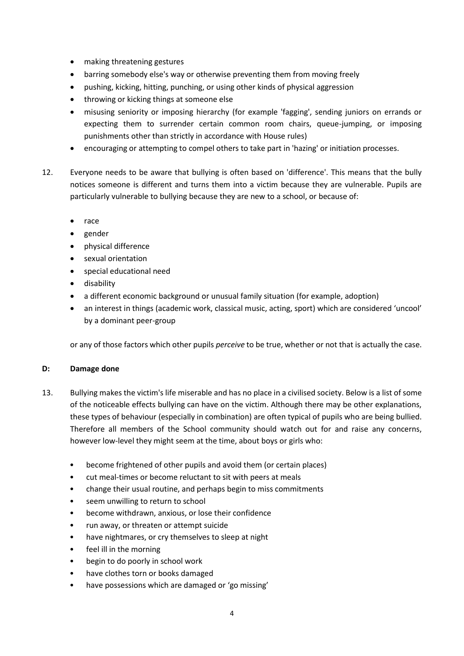- making threatening gestures
- barring somebody else's way or otherwise preventing them from moving freely
- pushing, kicking, hitting, punching, or using other kinds of physical aggression
- throwing or kicking things at someone else
- misusing seniority or imposing hierarchy (for example 'fagging', sending juniors on errands or expecting them to surrender certain common room chairs, queue-jumping, or imposing punishments other than strictly in accordance with House rules)
- encouraging or attempting to compel others to take part in 'hazing' or initiation processes.
- 12. Everyone needs to be aware that bullying is often based on 'difference'. This means that the bully notices someone is different and turns them into a victim because they are vulnerable. Pupils are particularly vulnerable to bullying because they are new to a school, or because of:
	- race
	- gender
	- physical difference
	- sexual orientation
	- special educational need
	- disability
	- a different economic background or unusual family situation (for example, adoption)
	- an interest in things (academic work, classical music, acting, sport) which are considered 'uncool' by a dominant peer-group

or any of those factors which other pupils *perceive* to be true, whether or not that is actually the case.

#### **D: Damage done**

- 13. Bullying makes the victim's life miserable and has no place in a civilised society. Below is a list of some of the noticeable effects bullying can have on the victim. Although there may be other explanations, these types of behaviour (especially in combination) are often typical of pupils who are being bullied. Therefore all members of the School community should watch out for and raise any concerns, however low-level they might seem at the time, about boys or girls who:
	- become frightened of other pupils and avoid them (or certain places)
	- cut meal-times or become reluctant to sit with peers at meals
	- change their usual routine, and perhaps begin to miss commitments
	- seem unwilling to return to school
	- become withdrawn, anxious, or lose their confidence
	- run away, or threaten or attempt suicide
	- have nightmares, or cry themselves to sleep at night
	- feel ill in the morning
	- begin to do poorly in school work
	- have clothes torn or books damaged
	- have possessions which are damaged or 'go missing'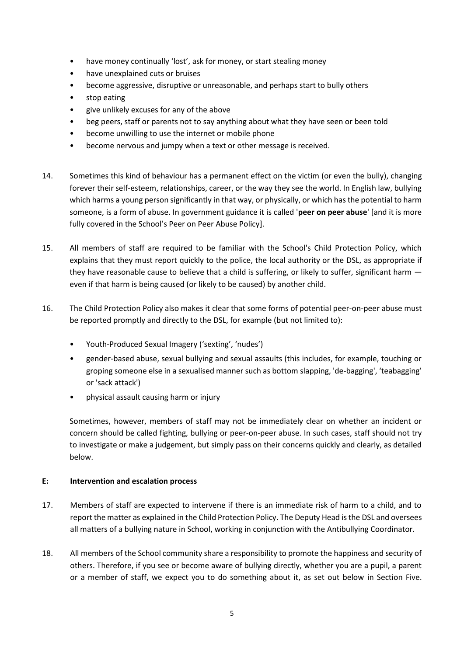- have money continually 'lost', ask for money, or start stealing money
- have unexplained cuts or bruises
- become aggressive, disruptive or unreasonable, and perhaps start to bully others
- stop eating
- give unlikely excuses for any of the above
- beg peers, staff or parents not to say anything about what they have seen or been told
- become unwilling to use the internet or mobile phone
- become nervous and jumpy when a text or other message is received.
- 14. Sometimes this kind of behaviour has a permanent effect on the victim (or even the bully), changing forever their self-esteem, relationships, career, or the way they see the world. In English law, bullying which harms a young person significantly in that way, or physically, or which has the potential to harm someone, is a form of abuse. In government guidance it is called '**peer on peer abuse**' [and it is more fully covered in the School's Peer on Peer Abuse Policy].
- 15. All members of staff are required to be familiar with the School's Child Protection Policy, which explains that they must report quickly to the police, the local authority or the DSL, as appropriate if they have reasonable cause to believe that a child is suffering, or likely to suffer, significant harm  $$ even if that harm is being caused (or likely to be caused) by another child.
- 16. The Child Protection Policy also makes it clear that some forms of potential peer-on-peer abuse must be reported promptly and directly to the DSL, for example (but not limited to):
	- Youth-Produced Sexual Imagery ('sexting', 'nudes')
	- gender-based abuse, sexual bullying and sexual assaults (this includes, for example, touching or groping someone else in a sexualised manner such as bottom slapping, 'de-bagging', 'teabagging' or 'sack attack')
	- physical assault causing harm or injury

Sometimes, however, members of staff may not be immediately clear on whether an incident or concern should be called fighting, bullying or peer-on-peer abuse. In such cases, staff should not try to investigate or make a judgement, but simply pass on their concerns quickly and clearly, as detailed below.

#### **E: Intervention and escalation process**

- 17. Members of staff are expected to intervene if there is an immediate risk of harm to a child, and to report the matter as explained in the Child Protection Policy. The Deputy Head is the DSL and oversees all matters of a bullying nature in School, working in conjunction with the Antibullying Coordinator.
- 18. All members of the School community share a responsibility to promote the happiness and security of others. Therefore, if you see or become aware of bullying directly, whether you are a pupil, a parent or a member of staff, we expect you to do something about it, as set out below in Section Five.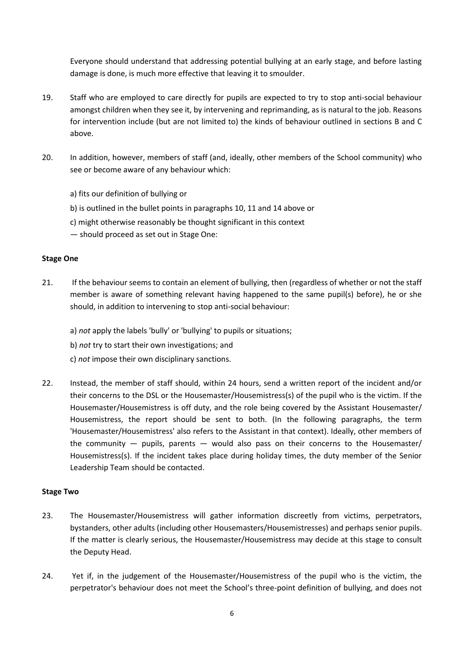Everyone should understand that addressing potential bullying at an early stage, and before lasting damage is done, is much more effective that leaving it to smoulder.

- 19. Staff who are employed to care directly for pupils are expected to try to stop anti-social behaviour amongst children when they see it, by intervening and reprimanding, as is natural to the job. Reasons for intervention include (but are not limited to) the kinds of behaviour outlined in sections B and C above.
- 20. In addition, however, members of staff (and, ideally, other members of the School community) who see or become aware of any behaviour which:
	- a) fits our definition of bullying or
	- b) is outlined in the bullet points in paragraphs 10, 11 and 14 above or
	- c) might otherwise reasonably be thought significant in this context
	- should proceed as set out in Stage One:

#### **Stage One**

- 21. If the behaviour seems to contain an element of bullying, then (regardless of whether or not the staff member is aware of something relevant having happened to the same pupil(s) before), he or she should, in addition to intervening to stop anti-social behaviour:
	- a) *not* apply the labels 'bully' or 'bullying' to pupils or situations;
	- b) *not* try to start their own investigations; and
	- c) *not* impose their own disciplinary sanctions.
- 22. Instead, the member of staff should, within 24 hours, send a written report of the incident and/or their concerns to the DSL or the Housemaster/Housemistress(s) of the pupil who is the victim. If the Housemaster/Housemistress is off duty, and the role being covered by the Assistant Housemaster/ Housemistress, the report should be sent to both. (In the following paragraphs, the term 'Housemaster/Housemistress' also refers to the Assistant in that context). Ideally, other members of the community  $-$  pupils, parents  $-$  would also pass on their concerns to the Housemaster/ Housemistress(s). If the incident takes place during holiday times, the duty member of the Senior Leadership Team should be contacted.

#### **Stage Two**

- 23. The Housemaster/Housemistress will gather information discreetly from victims, perpetrators, bystanders, other adults (including other Housemasters/Housemistresses) and perhaps senior pupils. If the matter is clearly serious, the Housemaster/Housemistress may decide at this stage to consult the Deputy Head.
- 24. Yet if, in the judgement of the Housemaster/Housemistress of the pupil who is the victim, the perpetrator's behaviour does not meet the School's three-point definition of bullying, and does not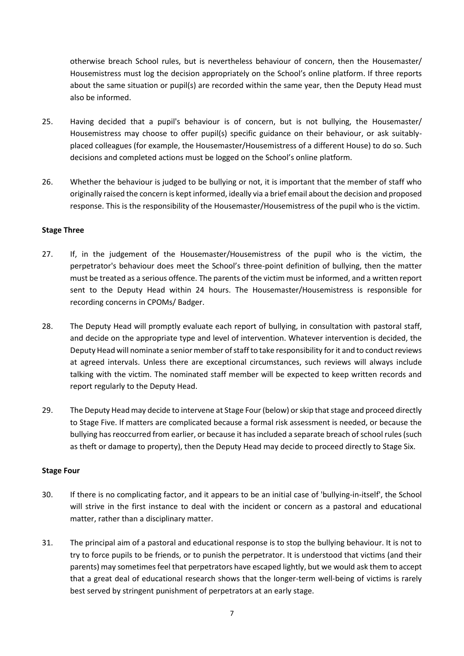otherwise breach School rules, but is nevertheless behaviour of concern, then the Housemaster/ Housemistress must log the decision appropriately on the School's online platform. If three reports about the same situation or pupil(s) are recorded within the same year, then the Deputy Head must also be informed.

- 25. Having decided that a pupil's behaviour is of concern, but is not bullying, the Housemaster/ Housemistress may choose to offer pupil(s) specific guidance on their behaviour, or ask suitablyplaced colleagues (for example, the Housemaster/Housemistress of a different House) to do so. Such decisions and completed actions must be logged on the School's online platform.
- 26. Whether the behaviour is judged to be bullying or not, it is important that the member of staff who originally raised the concern is kept informed, ideally via a brief email about the decision and proposed response. This is the responsibility of the Housemaster/Housemistress of the pupil who is the victim.

#### **Stage Three**

- 27. If, in the judgement of the Housemaster/Housemistress of the pupil who is the victim, the perpetrator's behaviour does meet the School's three-point definition of bullying, then the matter must be treated as a serious offence. The parents of the victim must be informed, and a written report sent to the Deputy Head within 24 hours. The Housemaster/Housemistress is responsible for recording concerns in CPOMs/ Badger.
- 28. The Deputy Head will promptly evaluate each report of bullying, in consultation with pastoral staff, and decide on the appropriate type and level of intervention. Whatever intervention is decided, the Deputy Head will nominate a senior member of staff to take responsibility for it and to conduct reviews at agreed intervals. Unless there are exceptional circumstances, such reviews will always include talking with the victim. The nominated staff member will be expected to keep written records and report regularly to the Deputy Head.
- 29. The Deputy Head may decide to intervene at Stage Four (below) or skip that stage and proceed directly to Stage Five. If matters are complicated because a formal risk assessment is needed, or because the bullying has reoccurred from earlier, or because it has included a separate breach of school rules (such as theft or damage to property), then the Deputy Head may decide to proceed directly to Stage Six.

#### **Stage Four**

- 30. If there is no complicating factor, and it appears to be an initial case of 'bullying-in-itself', the School will strive in the first instance to deal with the incident or concern as a pastoral and educational matter, rather than a disciplinary matter.
- 31. The principal aim of a pastoral and educational response is to stop the bullying behaviour. It is not to try to force pupils to be friends, or to punish the perpetrator. It is understood that victims (and their parents) may sometimes feel that perpetrators have escaped lightly, but we would ask them to accept that a great deal of educational research shows that the longer-term well-being of victims is rarely best served by stringent punishment of perpetrators at an early stage.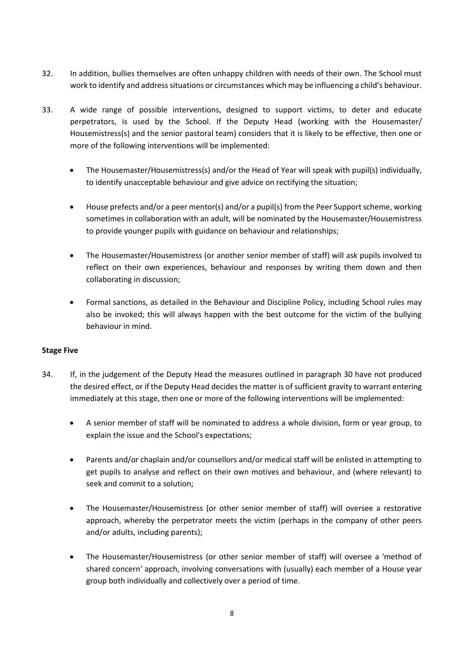- 32. In addition, bullies themselves are often unhappy children with needs of their own. The School must work to identify and address situations or circumstances which may be influencing a child's behaviour.
- 33. A wide range of possible interventions, designed to support victims, to deter and educate perpetrators, is used by the School. If the Deputy Head (working with the Housemaster/ Housemistress(s) and the senior pastoral team) considers that it is likely to be effective, then one or more of the following interventions will be implemented:
	- The Housemaster/Housemistress(s) and/or the Head of Year will speak with pupil(s) individually, to identify unacceptable behaviour and give advice on rectifying the situation;
	- House prefects and/or a peer mentor(s) and/or a pupil(s) from the Peer Support scheme, working sometimes in collaboration with an adult, will be nominated by the Housemaster/Housemistress to provide younger pupils with guidance on behaviour and relationships;
	- The Housemaster/Housemistress (or another senior member of staff) will ask pupils involved to reflect on their own experiences, behaviour and responses by writing them down and then collaborating in discussion;
	- Formal sanctions, as detailed in the Behaviour and Discipline Policy, including School rules may also be invoked; this will always happen with the best outcome for the victim of the bullying behaviour in mind.

## **Stage Five**

- 34. If, in the judgement of the Deputy Head the measures outlined in paragraph 30 have not produced the desired effect, or if the Deputy Head decides the matter is of sufficient gravity to warrant entering immediately at this stage, then one or more of the following interventions will be implemented:
	- A senior member of staff will be nominated to address a whole division, form or year group, to explain the issue and the School's expectations;
	- Parents and/or chaplain and/or counsellors and/or medical staff will be enlisted in attempting to get pupils to analyse and reflect on their own motives and behaviour, and (where relevant) to seek and commit to a solution;
	- The Housemaster/Housemistress (or other senior member of staff) will oversee a restorative approach, whereby the perpetrator meets the victim (perhaps in the company of other peers and/or adults, including parents);
	- The Housemaster/Housemistress (or other senior member of staff) will oversee a 'method of shared concern' approach, involving conversations with (usually) each member of a House year group both individually and collectively over a period of time.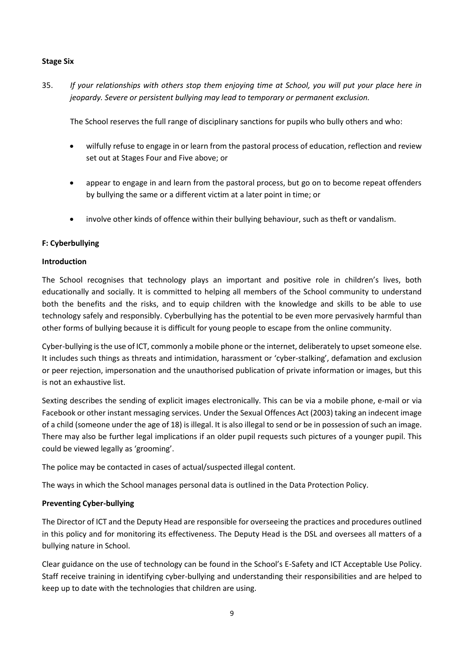#### **Stage Six**

35. *If your relationships with others stop them enjoying time at School, you will put your place here in jeopardy. Severe or persistent bullying may lead to temporary or permanent exclusion.* 

The School reserves the full range of disciplinary sanctions for pupils who bully others and who:

- wilfully refuse to engage in or learn from the pastoral process of education, reflection and review set out at Stages Four and Five above; or
- appear to engage in and learn from the pastoral process, but go on to become repeat offenders by bullying the same or a different victim at a later point in time; or
- involve other kinds of offence within their bullying behaviour, such as theft or vandalism.

## **F: Cyberbullying**

#### **Introduction**

The School recognises that technology plays an important and positive role in children's lives, both educationally and socially. It is committed to helping all members of the School community to understand both the benefits and the risks, and to equip children with the knowledge and skills to be able to use technology safely and responsibly. Cyberbullying has the potential to be even more pervasively harmful than other forms of bullying because it is difficult for young people to escape from the online community.

Cyber-bullying is the use of ICT, commonly a mobile phone or the internet, deliberately to upset someone else. It includes such things as threats and intimidation, harassment or 'cyber‐stalking', defamation and exclusion or peer rejection, impersonation and the unauthorised publication of private information or images, but this is not an exhaustive list.

Sexting describes the sending of explicit images electronically. This can be via a mobile phone, e-mail or via Facebook or other instant messaging services. Under the Sexual Offences Act (2003) taking an indecent image of a child (someone under the age of 18) is illegal. It is also illegal to send or be in possession of such an image. There may also be further legal implications if an older pupil requests such pictures of a younger pupil. This could be viewed legally as 'grooming'.

The police may be contacted in cases of actual/suspected illegal content.

The ways in which the School manages personal data is outlined in the Data Protection Policy.

## **Preventing Cyber-bullying**

The Director of ICT and the Deputy Head are responsible for overseeing the practices and procedures outlined in this policy and for monitoring its effectiveness. The Deputy Head is the DSL and oversees all matters of a bullying nature in School.

Clear guidance on the use of technology can be found in the School's E-Safety and ICT Acceptable Use Policy. Staff receive training in identifying cyber-bullying and understanding their responsibilities and are helped to keep up to date with the technologies that children are using.